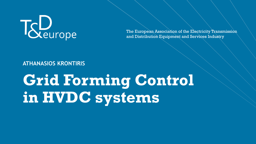

The European Association of the Electricity Transmission and Distribution Equipment and Services Industry

#### **ATHANASIOS KRONTIRIS**

# **Grid Forming Control in HVDC systems**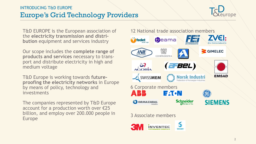## Europe's Grid Technology Providers INTRODUCING T&D EUROPE



T&D EUROPE is the European association of the **electricity transmission and distribution** equipment and services industry

Our scope includes the **complete range of products and services** necessary to transport and distribute electricity in high and medium voltage

T&D Europe is working towards **futureproofing the electricity networks** in Europe by means of policy, technology and investments

The companies represented by T&D Europe account for a production worth over €25 billion, and employ over 200.000 people in Europe

#### 12 National trade association members



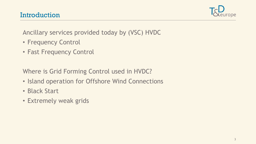

Ancillary services provided today by (VSC) HVDC

- Frequency Control
- Fast Frequency Control

Where is Grid Forming Control used in HVDC?

- Island operation for Offshore Wind Connections
- Black Start
- Extremely weak grids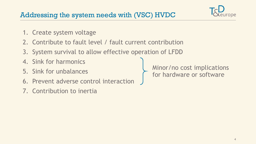- 1. Create system voltage
- 2. Contribute to fault level / fault current contribution
- 3. System survival to allow effective operation of LFDD
- 4. Sink for harmonics
- 5. Sink for unbalances
- 6. Prevent adverse control interaction
- 7. Contribution to inertia

Minor/no cost implications for hardware or software

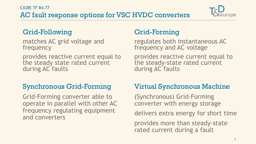# AC fault response options for VSC HVDC converters CIGRE TF B4.77



# Grid-Following

matches AC grid voltage and frequency

provides reactive current equal to the steady state rated current during AC faults

# Synchronous Grid-Forming

Grid-Forming converter able to operate in parallel with other AC frequency regulating equipment and converters

# Grid-Forming

regulates both instantaneous AC frequency and AC voltage

provides reactive current equal to the steady-state rated current during AC faults

# Virtual Synchronous Machine

(Synchronous) Grid-Forming converter with energy storage

delivers extra energy for short time

provides more than steady-state rated current during a fault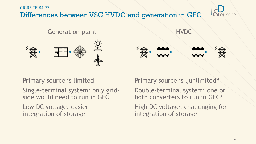Differences between VSC HVDC and generation in GFC CIGRE TF B4.77



Generation plant



**HVDC** 

## Primary source is limited

Single-terminal system: only gridside would need to run in GFC

Low DC voltage, easier integration of storage

Primary source is ..unlimited"

Double-terminal system: one or both converters to run in GFC?

High DC voltage, challenging for integration of storage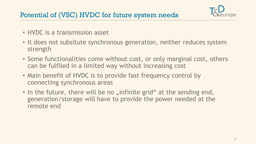

- HVDC is a transmission asset
- It does not subsitute synchronous generation, neither reduces system strength
- Some functionalities come without cost, or only marginal cost, others can be fulfiled in a limited way without increasing cost
- Main benefit of HVDC is to provide fast frequency control by connecting synchronous areas
- In the future, there will be no "infinite grid" at the sending end, generation/storage will have to provide the power needed at the remote end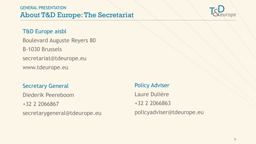#### About T&D Europe: The Secretariat GENERAL PRESENTATION



#### T&D Europe aisbl

Boulevard Auguste Reyers 80 B-1030 Brussels secretariat@tdeurope.eu www.tdeurope.eu

#### Secretary General

Diederik Peereboom +32 2 2066867 secretarygeneral@tdeurope.eu

# Policy Adviser Laure Dulière +32 2 2066863 policyadviser@tdeurope.eu